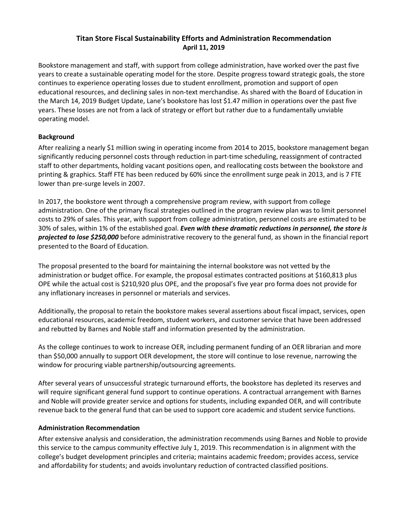### **Titan Store Fiscal Sustainability Efforts and Administration Recommendation April 11, 2019**

Bookstore management and staff, with support from college administration, have worked over the past five years to create a sustainable operating model for the store. Despite progress toward strategic goals, the store continues to experience operating losses due to student enrollment, promotion and support of open educational resources, and declining sales in non-text merchandise. As shared with the Board of Education in the March 14, 2019 Budget Update, Lane's bookstore has lost \$1.47 million in operations over the past five years. These losses are not from a lack of strategy or effort but rather due to a fundamentally unviable operating model.

## **Background**

After realizing a nearly \$1 million swing in operating income from 2014 to 2015, bookstore management began significantly reducing personnel costs through reduction in part-time scheduling, reassignment of contracted staff to other departments, holding vacant positions open, and reallocating costs between the bookstore and printing & graphics. Staff FTE has been reduced by 60% since the enrollment surge peak in 2013, and is 7 FTE lower than pre‐surge levels in 2007.

In 2017, the bookstore went through a comprehensive program review, with support from college administration. One of the primary fiscal strategies outlined in the program review plan was to limit personnel costs to 29% of sales. This year, with support from college administration, personnel costs are estimated to be 30% of sales, within 1% of the established goal. *Even with these dramatic reductions in personnel, the store is projected to lose \$250,000* before administrative recovery to the general fund, as shown in the financial report presented to the Board of Education.

The proposal presented to the board for maintaining the internal bookstore was not vetted by the administration or budget office. For example, the proposal estimates contracted positions at \$160,813 plus OPE while the actual cost is \$210,920 plus OPE, and the proposal's five year pro forma does not provide for any inflationary increases in personnel or materials and services.

Additionally, the proposal to retain the bookstore makes several assertions about fiscal impact, services, open educational resources, academic freedom, student workers, and customer service that have been addressed and rebutted by Barnes and Noble staff and information presented by the administration.

As the college continues to work to increase OER, including permanent funding of an OER librarian and more than \$50,000 annually to support OER development, the store will continue to lose revenue, narrowing the window for procuring viable partnership/outsourcing agreements.

After several years of unsuccessful strategic turnaround efforts, the bookstore has depleted its reserves and will require significant general fund support to continue operations. A contractual arrangement with Barnes and Noble will provide greater service and options for students, including expanded OER, and will contribute revenue back to the general fund that can be used to support core academic and student service functions.

### **Administration Recommendation**

After extensive analysis and consideration, the administration recommends using Barnes and Noble to provide this service to the campus community effective July 1, 2019. This recommendation is in alignment with the college's budget development principles and criteria; maintains academic freedom; provides access, service and affordability for students; and avoids involuntary reduction of contracted classified positions.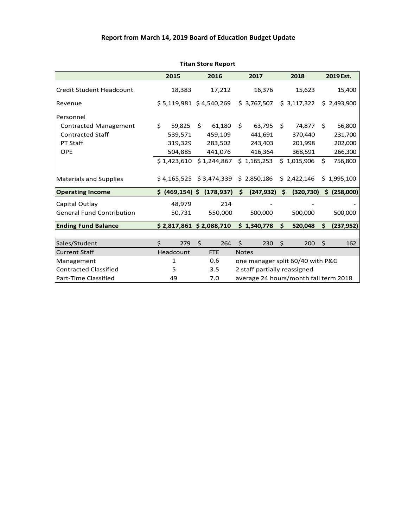# **Report from March 14, 2019 Board of Education Budget Update**

|                                  | 2015             |    | 2016                      |                              | 2017                                   |    | 2018        |         | 2019 Est.    |  |
|----------------------------------|------------------|----|---------------------------|------------------------------|----------------------------------------|----|-------------|---------|--------------|--|
| <b>Credit Student Headcount</b>  | 18,383           |    | 17,212                    |                              | 16,376                                 |    | 15,623      |         | 15,400       |  |
| Revenue                          |                  |    | $$5,119,981$ $$4,540,269$ |                              | \$3,767,507                            |    | \$3,117,322 |         | \$2,493,900  |  |
| Personnel                        |                  |    |                           |                              |                                        |    |             |         |              |  |
| <b>Contracted Management</b>     | \$<br>59,825     | Ŝ. | 61,180                    | \$                           | 63,795                                 | \$ | 74,877      | \$      | 56,800       |  |
| <b>Contracted Staff</b>          | 539,571          |    | 459,109                   |                              | 441,691                                |    | 370,440     |         | 231,700      |  |
| PT Staff                         | 319,329          |    | 283,502                   |                              | 243,403                                |    | 201,998     |         | 202,000      |  |
| <b>OPE</b>                       | 504,885          |    | 441,076                   |                              | 416,364                                |    | 368,591     |         | 266,300      |  |
|                                  | \$1,423,610      |    | \$1,244,867               |                              | \$1,165,253                            |    | \$1,015,906 | \$      | 756,800      |  |
| <b>Materials and Supplies</b>    |                  |    |                           |                              | $$4,165,525$ $$3,474,339$ $$2,850,186$ |    | \$2,422,146 |         | \$1,995,100  |  |
| <b>Operating Income</b>          | \$ (469, 154) \$ |    | (178, 937)                | \$                           | (247, 932)                             | \$ | (320, 730)  |         | \$ (258,000) |  |
| Capital Outlay                   | 48,979           |    | 214                       |                              |                                        |    |             |         |              |  |
| <b>General Fund Contribution</b> | 50,731           |    | 550,000                   |                              | 500,000                                |    | 500,000     |         | 500,000      |  |
| <b>Ending Fund Balance</b>       |                  |    | $$2,817,861$ \$ 2,088,710 |                              | \$1,340,778                            | \$ | 520,048     | \$      | (237, 952)   |  |
|                                  |                  |    |                           |                              |                                        |    |             |         |              |  |
| Sales/Student                    | \$<br>279        | \$ | 264                       | \$                           | 230                                    | \$ | 200         | $\zeta$ | 162          |  |
| <b>Current Staff</b>             | Headcount        |    | <b>FTE</b>                |                              | <b>Notes</b>                           |    |             |         |              |  |
| Management                       | 1                |    | 0.6                       |                              | one manager split 60/40 with P&G       |    |             |         |              |  |
| <b>Contracted Classified</b>     | 5                |    | 3.5                       | 2 staff partially reassigned |                                        |    |             |         |              |  |
| Part-Time Classified             | 49               |    | 7.0                       |                              | average 24 hours/month fall term 2018  |    |             |         |              |  |

#### **Titan Store Report**